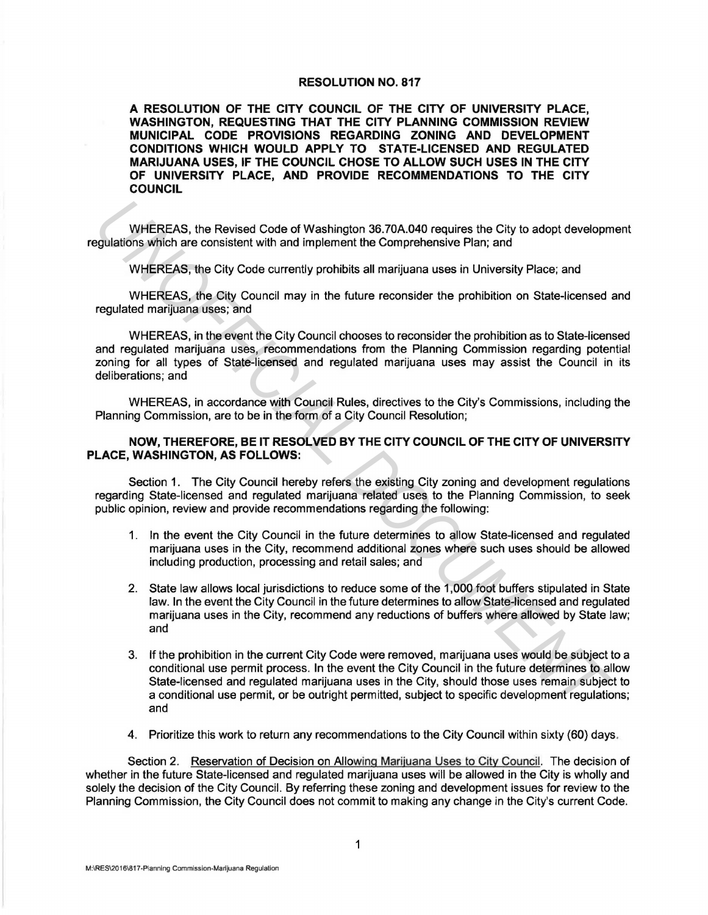## RESOLUTION NO. 817

A RESOLUTION OF THE CITY COUNCIL OF THE CITY OF UNIVERSITY PLACE, WASHINGTON, REQUESTING THAT THE CITY PLANNING COMMISSION REVIEW MUNICIPAL CODE PROVISIONS REGARDING ZONING AND DEVELOPMENT CONDITIONS WHICH WOULD APPLY TO STATE-LICENSED AND REGULATED MARIJUANA USES, IF THE COUNCIL CHOSE TO ALLOW SUCH USES IN THE CITY OF UNIVERSITY PLACE, AND PROVIDE RECOMMENDATIONS TO THE CITY COUNCIL

WHEREAS, the Revised Code of Washington 36.?0A.040 requires the City to adopt development regulations which are consistent with and implement the Comprehensive Plan; and

WHEREAS, the City Code currently prohibits all marijuana uses in University Place; and

WHEREAS, the City Council may in the future reconsider the prohibition on State-licensed and regulated marijuana uses; and

WHEREAS, in the event the City Council chooses to reconsider the prohibition as to State-licensed and regulated marijuana uses, recommendations from the Planning Commission regarding potential zoning for all types of State-licensed and regulated marijuana uses may assist the Council in its deliberations; and

WHEREAS, in accordance with Council Rules, directives to the City's Commissions, including the Planning Commission, are to be in the form of a City Council Resolution;

## NOW, THEREFORE, BE IT RESOLVED BY THE CITY COUNCIL OF THE CITY OF UNIVERSITY PLACE, WASHINGTON, AS FOLLOWS:

Section 1. The City Council hereby refers the existing City zoning and development regulations regarding State-licensed and regulated marijuana related uses to the Planning Commission, to seek public opinion, review and provide recommendations regarding the following:

- 1. In the event the City Council in the future determines to allow State-licensed and regulated marijuana uses in the City, recommend additional zones where such uses should be allowed including production, processing and retail sales; and
- 2. State law allows local jurisdictions to reduce some of the 1,000 foot buffers stipulated in State law. In the event the City Council in the future determines to allow State-licensed and regulated marijuana uses in the City, recommend any reductions of buffers where allowed by State law; and
- 3. If the prohibition in the current City Code were removed, marijuana uses would be subject to a conditional use permit process. In the event the City Council in the future determines to allow State-licensed and regulated marijuana uses in the City, should those uses remain subject to a conditional use permit, or be outright permitted, subject to specific development regulations; and WHEREAS, the Revised Code of Washington 36.70A.040 requires the City to adopt develop-<br>guiations which are consistent with and implement the Comprehensive Pian; and<br>WHEREAS, the City Code currentity prohibits all marijuana
	- 4. Prioritize this work to return any recommendations to the City Council within sixty (60) days.

Section 2. Reservation of Decision on Allowing Marijuana Uses to City Council. The decision of whether in the future State-licensed and regulated marijuana uses will be allowed in the City is wholly and solely the decision of the City Council. By referring these zoning and development issues for review to the Planning Commission, the City Council does not commit to making any change in the City's current Code.